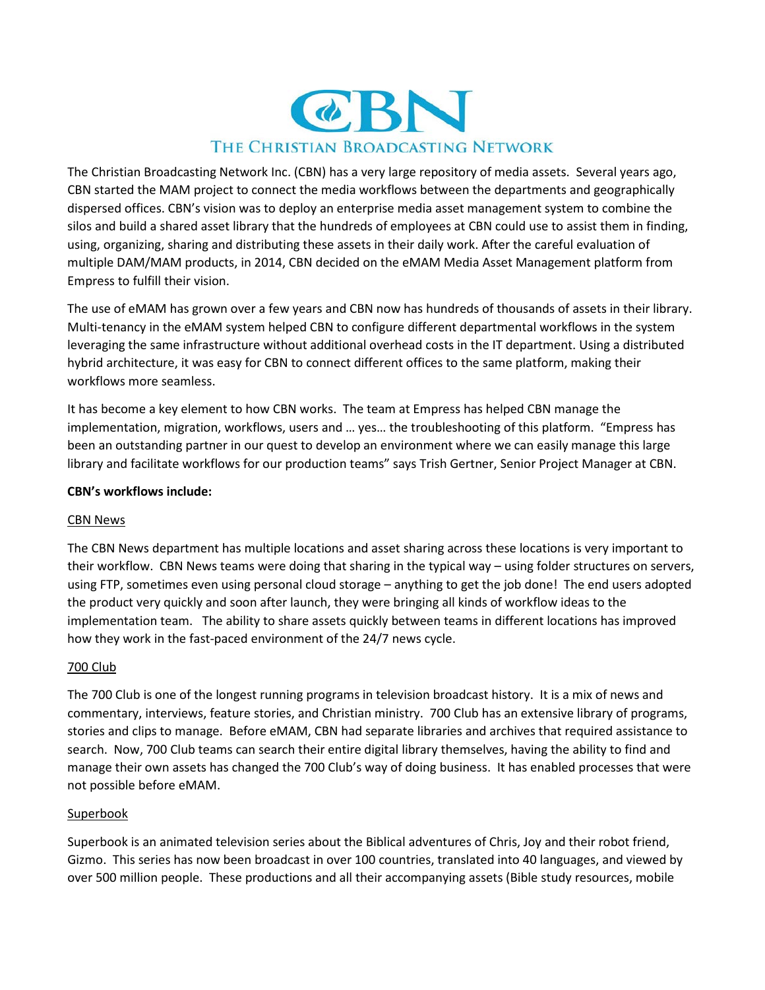

The Christian Broadcasting Network Inc. (CBN) has a very large repository of media assets. Several years ago, CBN started the MAM project to connect the media workflows between the departments and geographically dispersed offices. CBN's vision was to deploy an enterprise media asset management system to combine the silos and build a shared asset library that the hundreds of employees at CBN could use to assist them in finding, using, organizing, sharing and distributing these assets in their daily work. After the careful evaluation of multiple DAM/MAM products, in 2014, CBN decided on the eMAM Media Asset Management platform from Empress to fulfill their vision.

The use of eMAM has grown over a few years and CBN now has hundreds of thousands of assets in their library. Multi-tenancy in the eMAM system helped CBN to configure different departmental workflows in the system leveraging the same infrastructure without additional overhead costs in the IT department. Using a distributed hybrid architecture, it was easy for CBN to connect different offices to the same platform, making their workflows more seamless.

It has become a key element to how CBN works. The team at Empress has helped CBN manage the implementation, migration, workflows, users and … yes… the troubleshooting of this platform. "Empress has been an outstanding partner in our quest to develop an environment where we can easily manage this large library and facilitate workflows for our production teams" says Trish Gertner, Senior Project Manager at CBN.

### **CBN's workflows include:**

# CBN News

The CBN News department has multiple locations and asset sharing across these locations is very important to their workflow. CBN News teams were doing that sharing in the typical way – using folder structures on servers, using FTP, sometimes even using personal cloud storage – anything to get the job done! The end users adopted the product very quickly and soon after launch, they were bringing all kinds of workflow ideas to the implementation team. The ability to share assets quickly between teams in different locations has improved how they work in the fast-paced environment of the 24/7 news cycle.

# 700 Club

The 700 Club is one of the longest running programs in television broadcast history. It is a mix of news and commentary, interviews, feature stories, and Christian ministry. 700 Club has an extensive library of programs, stories and clips to manage. Before eMAM, CBN had separate libraries and archives that required assistance to search. Now, 700 Club teams can search their entire digital library themselves, having the ability to find and manage their own assets has changed the 700 Club's way of doing business. It has enabled processes that were not possible before eMAM.

#### Superbook

Superbook is an animated television series about the Biblical adventures of Chris, Joy and their robot friend, Gizmo. This series has now been broadcast in over 100 countries, translated into 40 languages, and viewed by over 500 million people. These productions and all their accompanying assets (Bible study resources, mobile